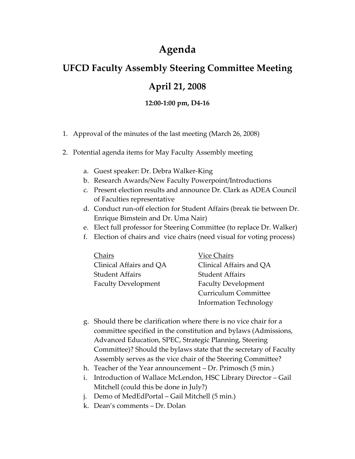## **Agenda**

## **UFCD Faculty Assembly Steering Committee Meeting April 21, 2008**

## **12:00‐1:00 pm, D4‐16**

- 1. Approval of the minutes of the last meeting (March 26, 2008)
- 2. Potential agenda items for May Faculty Assembly meeting
	- a. Guest speaker: Dr. Debra Walker‐King
	- b. Research Awards/New Faculty Powerpoint/Introductions
	- c. Present election results and announce Dr. Clark as ADEA Council of Faculties representative
	- d. Conduct run‐off election for Student Affairs (break tie between Dr. Enrique Bimstein and Dr. Uma Nair)
	- e. Elect full professor for Steering Committee (to replace Dr. Walker)
	- f. Election of chairs and vice chairs (need visual for voting process)

| Chairs                     | Vice Chairs                   |
|----------------------------|-------------------------------|
| Clinical Affairs and QA    | Clinical Affairs and OA       |
| <b>Student Affairs</b>     | <b>Student Affairs</b>        |
| <b>Faculty Development</b> | <b>Faculty Development</b>    |
|                            | <b>Curriculum Committee</b>   |
|                            | <b>Information Technology</b> |

- g. Should there be clarification where there is no vice chair for a committee specified in the constitution and bylaws (Admissions, Advanced Education, SPEC, Strategic Planning, Steering Committee)? Should the bylaws state that the secretary of Faculty Assembly serves as the vice chair of the Steering Committee?
- h. Teacher of the Year announcement Dr. Primosch (5 min.)
- i. Introduction of Wallace McLendon, HSC Library Director Gail Mitchell (could this be done in July?)
- j. Demo of MedEdPortal Gail Mitchell (5 min.)
- k. Dean's comments Dr. Dolan